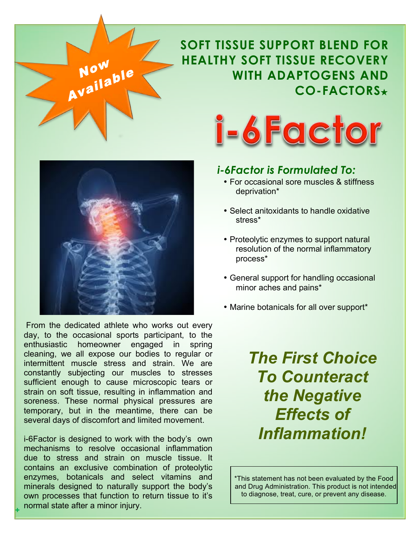# **SOFT TISSUE SUPPORT BLEND FOR HEALTHY SOFT TISSUE RECOVERY WITH ADAPTOGENS AND CO-FACTORS**★



<sup>N</sup>o<sup>w</sup>

Available

*Soon*

 From the dedicated athlete who works out every day, to the occasional sports participant, to the enthusiastic homeowner engaged in spring cleaning, we all expose our bodies to regular or intermittent muscle stress and strain. We are constantly subjecting our muscles to stresses sufficient enough to cause microscopic tears or strain on soft tissue, resulting in inflammation and soreness. These normal physical pressures are temporary, but in the meantime, there can be several days of discomfort and limited movement.

i-6Factor is designed to work with the body's own mechanisms to resolve occasional inflammation due to stress and strain on muscle tissue. It contains an exclusive combination of proteolytic enzymes, botanicals and select vitamins and minerals designed to naturally support the body's own processes that function to return tissue to it's normal state after a minor injury.

**+**



## *i-6Factor is Formulated To:*

- For occasional sore muscles & stiffness deprivation\*
- Select anitoxidants to handle oxidative stress\*
- Proteolytic enzymes to support natural resolution of the normal inflammatory process\*
- General support for handling occasional minor aches and pains\*
- Marine botanicals for all over support\*

*The First Choice To Counteract the Negative Effects of Inflammation!*

\*This statement has not been evaluated by the Food and Drug Administration. This product is not intended to diagnose, treat, cure, or prevent any disease.